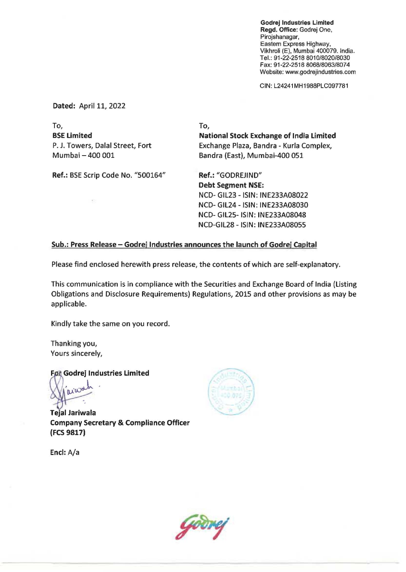Godrej Industries Limited Regd. Office: Godrej One, Pirojshanagar, Eastern Express Highway, Vikhroli (E), Mumbai 400079. India. Tel.: 91-22-2518 *8010/8020/8030*  Fax: 91-22-2518 *806818063/8074*  Website: www.godrejindustries.com

CIN: L24241MH1988PLC097781

Dated: April 11, 2022

To, BSE Limited P. J. Towers, Dalal Street, Fort Mumbai - 400 001 Ref.: SSE Scrip Code No. "500164" To, National Stock Exchange of India Limited Exchange Plaza, Sandra - Kurla Complex, Sandra (East), Mumbai-4oo 051 Ref.: "GODREJIND" Debt Segment NSE: NCD- GIl23 -ISIN: INE233A08022

Sub.: Press Release - Godrej Industries announces the launch of Godrej Capital

Please find enclosed herewith press release, the contents of which are self-explanatory.

This communication is in compliance with the Securities and Exchange Soard of India (Listing Obligations and Disclosure Requirements) Regulations, 2015 and other provisions as may be applicable.

Kindly take the same on you record.

Thanking you, Yours sincerely,

For Godrej Industries Limited

aiwa

Tejal lariwala Company Secretary & Compliance Officer (FCS 9817)

NCD- GIL24 -ISIN: INE233A08030 NCD- GIL25- ISIN: INE233A08048 NCD-GIL28 -ISIN : INE233A08055

End: A/a

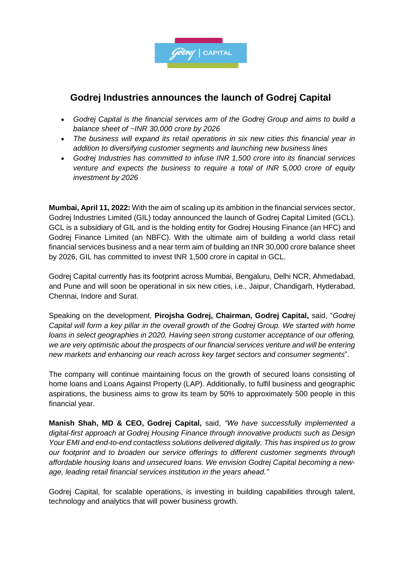

## **Godrej Industries announces the launch of Godrej Capital**

- *Godrej Capital is the financial services arm of the Godrej Group and aims to build a balance sheet of ~INR 30,000 crore by 2026*
- *The business will expand its retail operations in six new cities this financial year in addition to diversifying customer segments and launching new business lines*
- *Godrej Industries has committed to infuse INR 1,500 crore into its financial services venture and expects the business to require a total of INR 5,000 crore of equity investment by 2026*

**Mumbai, April 11, 2022:** With the aim of scaling up its ambition in the financial services sector, Godrej Industries Limited (GIL) today announced the launch of Godrej Capital Limited (GCL). GCL is a subsidiary of GIL and is the holding entity for Godrej Housing Finance (an HFC) and Godrej Finance Limited (an NBFC). With the ultimate aim of building a world class retail financial services business and a near term aim of building an INR 30,000 crore balance sheet by 2026, GIL has committed to invest INR 1,500 crore in capital in GCL.

Godrej Capital currently has its footprint across Mumbai, Bengaluru, Delhi NCR, Ahmedabad, and Pune and will soon be operational in six new cities, i.e., Jaipur, Chandigarh, Hyderabad, Chennai, Indore and Surat.

Speaking on the development, **Pirojsha Godrej, Chairman, Godrej Capital,** said, "*Godrej Capital will form a key pillar in the overall growth of the Godrej Group. We started with home loans in select geographies in 2020. Having seen strong customer acceptance of our offering, we are very optimistic about the prospects of our financial services venture and will be entering new markets and enhancing our reach across key target sectors and consumer segments*".

The company will continue maintaining focus on the growth of secured loans consisting of home loans and Loans Against Property (LAP). Additionally, to fulfil business and geographic aspirations, the business aims to grow its team by 50% to approximately 500 people in this financial year.

**Manish Shah, MD & CEO, Godrej Capital,** said, *"We have successfully implemented a digital-first approach at Godrej Housing Finance through innovative products such as Design Your EMI and end-to-end contactless solutions delivered digitally. This has inspired us to grow our footprint and to broaden our service offerings to different customer segments through affordable housing loans and unsecured loans. We envision Godrej Capital becoming a newage, leading retail financial services institution in the years ahead."*

Godrej Capital, for scalable operations, is investing in building capabilities through talent, technology and analytics that will power business growth.